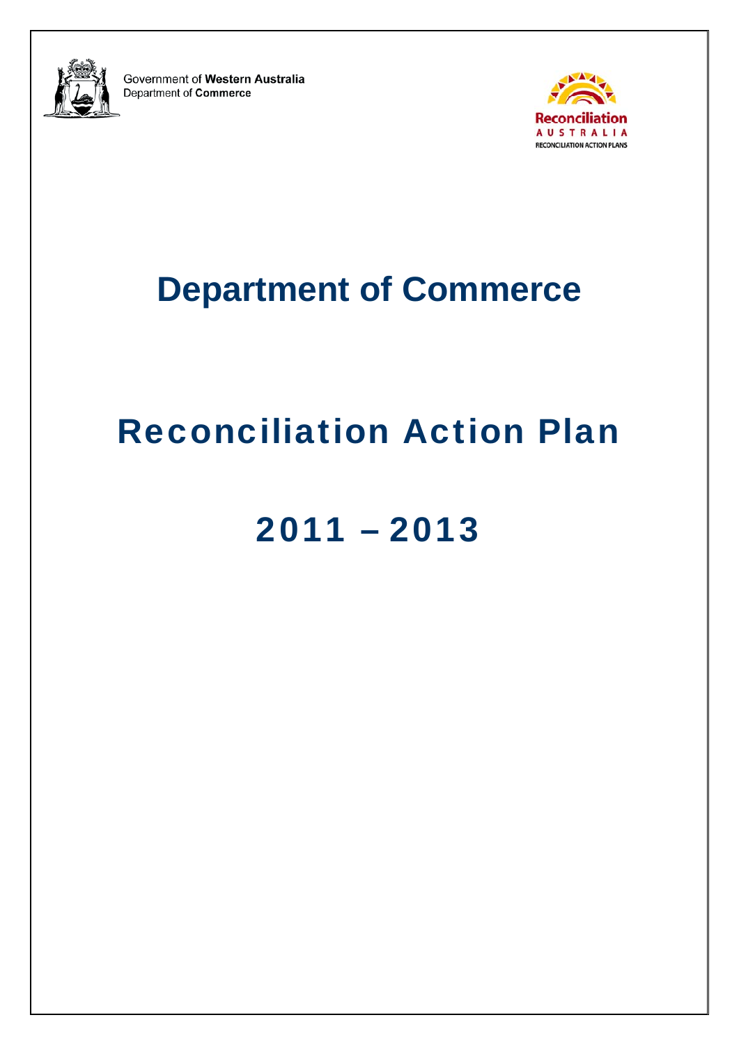

Government of Western Australia Department of Commerce



# **Department of Commerce**

# Reconciliation Action Plan

# 2011 – 2013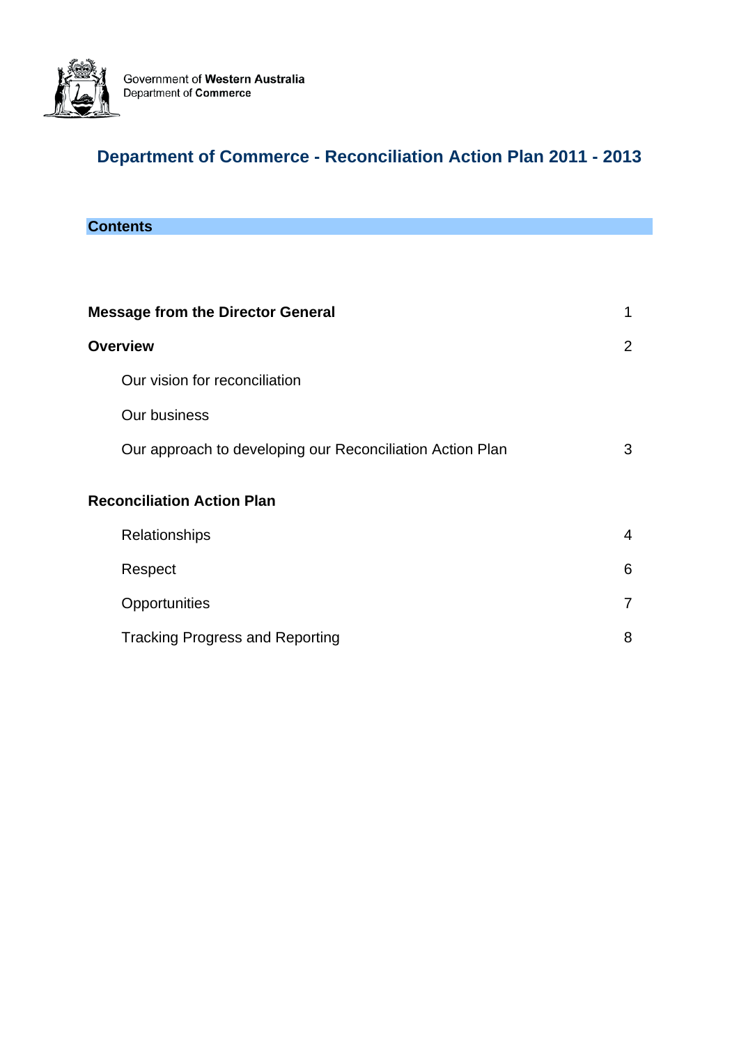

## **Department of Commerce - Reconciliation Action Plan 2011 - 2013**

## **Contents**

| <b>Message from the Director General</b>                  | 1              |
|-----------------------------------------------------------|----------------|
| <b>Overview</b>                                           | 2              |
| Our vision for reconciliation                             |                |
| Our business                                              |                |
| Our approach to developing our Reconciliation Action Plan | 3              |
| <b>Reconciliation Action Plan</b>                         |                |
| Relationships                                             | $\overline{4}$ |
| Respect                                                   | 6              |
| Opportunities                                             | 7              |
| <b>Tracking Progress and Reporting</b>                    | 8              |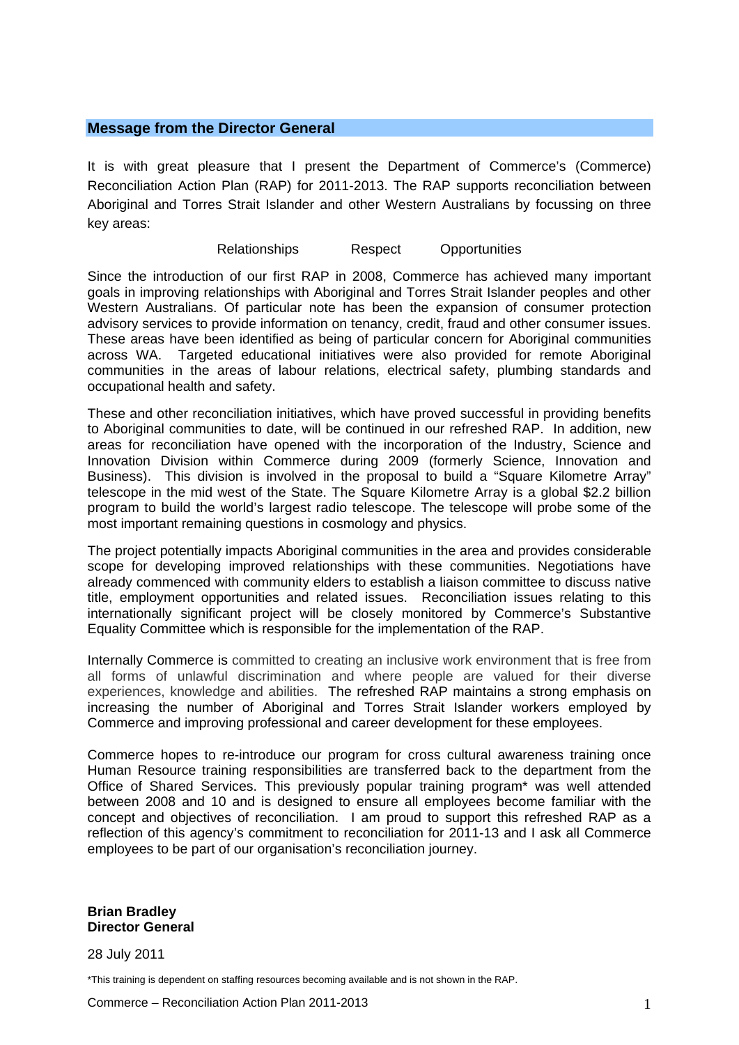#### **Message from the Director General**

It is with great pleasure that I present the Department of Commerce's (Commerce) Reconciliation Action Plan (RAP) for 2011-2013. The RAP supports reconciliation between Aboriginal and Torres Strait Islander and other Western Australians by focussing on three key areas:

Relationships Respect Opportunities

Since the introduction of our first RAP in 2008, Commerce has achieved many important goals in improving relationships with Aboriginal and Torres Strait Islander peoples and other Western Australians. Of particular note has been the expansion of consumer protection advisory services to provide information on tenancy, credit, fraud and other consumer issues. These areas have been identified as being of particular concern for Aboriginal communities across WA. Targeted educational initiatives were also provided for remote Aboriginal communities in the areas of labour relations, electrical safety, plumbing standards and occupational health and safety.

These and other reconciliation initiatives, which have proved successful in providing benefits to Aboriginal communities to date, will be continued in our refreshed RAP. In addition, new areas for reconciliation have opened with the incorporation of the Industry, Science and Innovation Division within Commerce during 2009 (formerly Science, Innovation and Business). This division is involved in the proposal to build a "Square Kilometre Array" telescope in the mid west of the State. The Square Kilometre Array is a global \$2.2 billion program to build the world's largest radio telescope. The telescope will probe some of the most important remaining questions in cosmology and physics.

The project potentially impacts Aboriginal communities in the area and provides considerable scope for developing improved relationships with these communities. Negotiations have already commenced with community elders to establish a liaison committee to discuss native title, employment opportunities and related issues. Reconciliation issues relating to this internationally significant project will be closely monitored by Commerce's Substantive Equality Committee which is responsible for the implementation of the RAP.

Internally Commerce is committed to creating an inclusive work environment that is free from all forms of unlawful discrimination and where people are valued for their diverse experiences, knowledge and abilities. The refreshed RAP maintains a strong emphasis on increasing the number of Aboriginal and Torres Strait Islander workers employed by Commerce and improving professional and career development for these employees.

Commerce hopes to re-introduce our program for cross cultural awareness training once Human Resource training responsibilities are transferred back to the department from the Office of Shared Services. This previously popular training program\* was well attended between 2008 and 10 and is designed to ensure all employees become familiar with the concept and objectives of reconciliation. I am proud to support this refreshed RAP as a reflection of this agency's commitment to reconciliation for 2011-13 and I ask all Commerce employees to be part of our organisation's reconciliation journey.

**Brian Bradley Director General** 

28 July 2011

\*This training is dependent on staffing resources becoming available and is not shown in the RAP.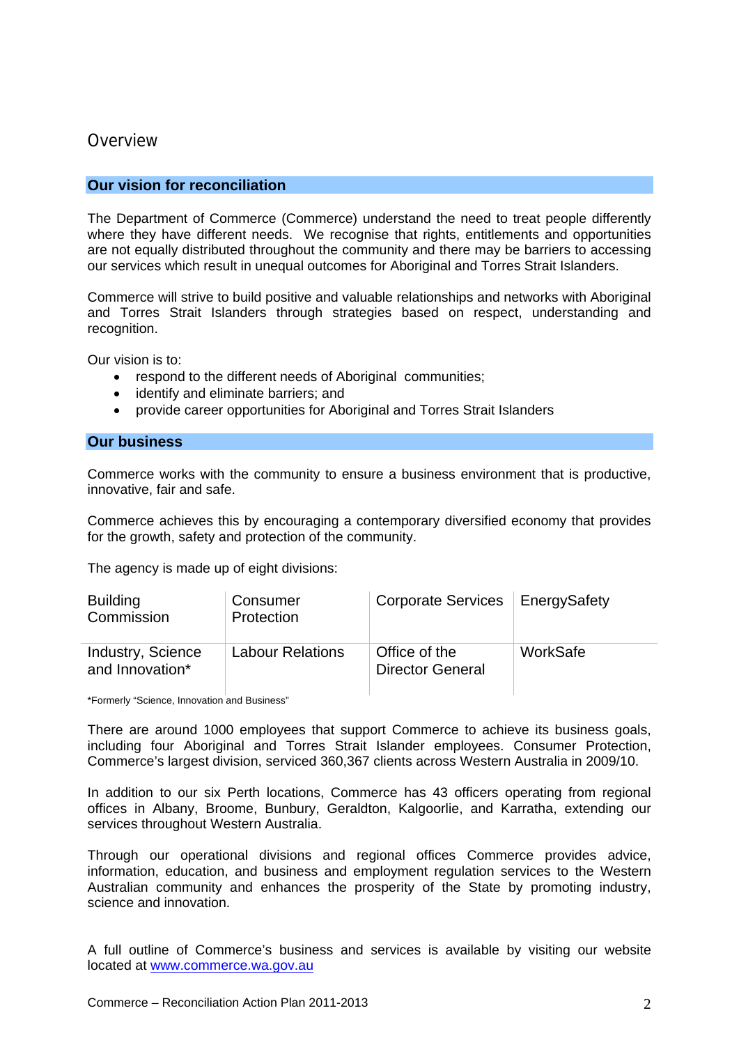### **Overview**

#### **Our vision for reconciliation**

The Department of Commerce (Commerce) understand the need to treat people differently where they have different needs. We recognise that rights, entitlements and opportunities are not equally distributed throughout the community and there may be barriers to accessing our services which result in unequal outcomes for Aboriginal and Torres Strait Islanders.

Commerce will strive to build positive and valuable relationships and networks with Aboriginal and Torres Strait Islanders through strategies based on respect, understanding and recognition.

Our vision is to:

- respond to the different needs of Aboriginal communities;
- identify and eliminate barriers; and
- provide career opportunities for Aboriginal and Torres Strait Islanders

#### **Our business**

Commerce works with the community to ensure a business environment that is productive, innovative, fair and safe.

Commerce achieves this by encouraging a contemporary diversified economy that provides for the growth, safety and protection of the community.

The agency is made up of eight divisions:

| <b>Building</b><br>Commission        | Consumer<br>Protection  | Corporate Services   Energy Safety       |          |
|--------------------------------------|-------------------------|------------------------------------------|----------|
| Industry, Science<br>and Innovation* | <b>Labour Relations</b> | Office of the<br><b>Director General</b> | WorkSafe |

\*Formerly "Science, Innovation and Business"

There are around 1000 employees that support Commerce to achieve its business goals, including four Aboriginal and Torres Strait Islander employees. Consumer Protection, Commerce's largest division, serviced 360,367 clients across Western Australia in 2009/10.

In addition to our six Perth locations, Commerce has 43 officers operating from regional offices in Albany, Broome, Bunbury, Geraldton, Kalgoorlie, and Karratha, extending our services throughout Western Australia.

Through our operational divisions and regional offices Commerce provides advice, information, education, and business and employment regulation services to the Western Australian community and enhances the prosperity of the State by promoting industry, science and innovation.

A full outline of Commerce's business and services is available by visiting our website located at [www.commerce.wa.gov.au](http://www.commerce.wa.gov.au/)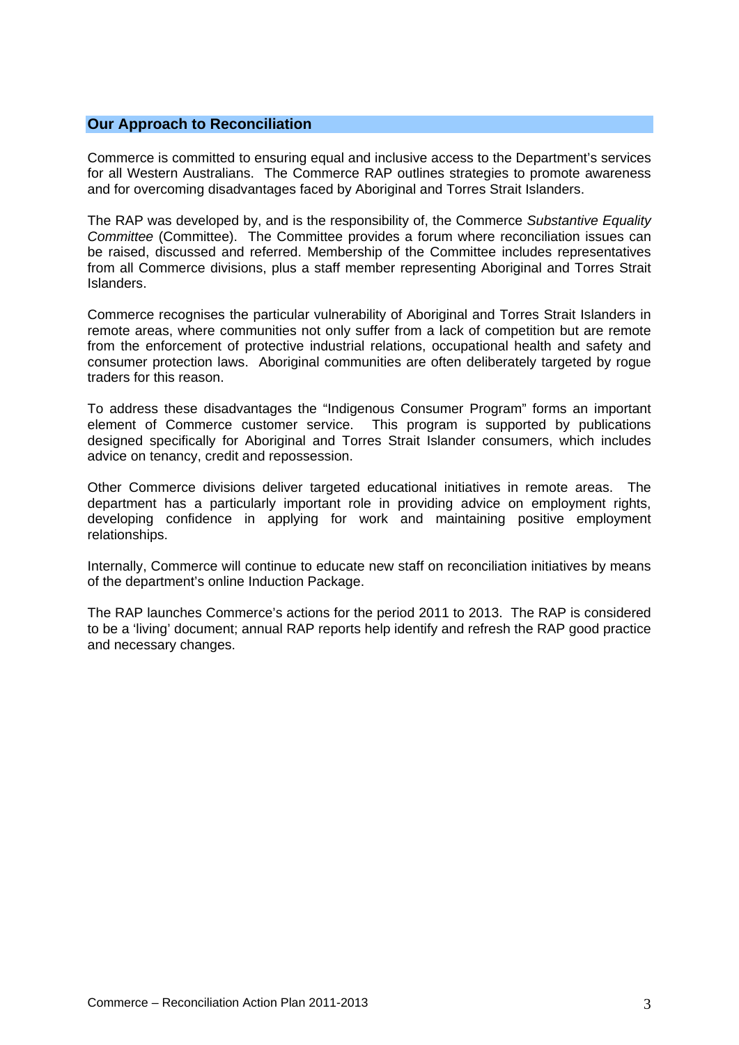#### **Our Approach to Reconciliation**

Commerce is committed to ensuring equal and inclusive access to the Department's services for all Western Australians. The Commerce RAP outlines strategies to promote awareness and for overcoming disadvantages faced by Aboriginal and Torres Strait Islanders.

The RAP was developed by, and is the responsibility of, the Commerce *Substantive Equality Committee* (Committee). The Committee provides a forum where reconciliation issues can be raised, discussed and referred. Membership of the Committee includes representatives from all Commerce divisions, plus a staff member representing Aboriginal and Torres Strait Islanders.

Commerce recognises the particular vulnerability of Aboriginal and Torres Strait Islanders in remote areas, where communities not only suffer from a lack of competition but are remote from the enforcement of protective industrial relations, occupational health and safety and consumer protection laws. Aboriginal communities are often deliberately targeted by rogue traders for this reason.

To address these disadvantages the "Indigenous Consumer Program" forms an important element of Commerce customer service. This program is supported by publications designed specifically for Aboriginal and Torres Strait Islander consumers, which includes advice on tenancy, credit and repossession.

Other Commerce divisions deliver targeted educational initiatives in remote areas. The department has a particularly important role in providing advice on employment rights, developing confidence in applying for work and maintaining positive employment relationships.

Internally, Commerce will continue to educate new staff on reconciliation initiatives by means of the department's online Induction Package.

The RAP launches Commerce's actions for the period 2011 to 2013. The RAP is considered to be a 'living' document; annual RAP reports help identify and refresh the RAP good practice and necessary changes.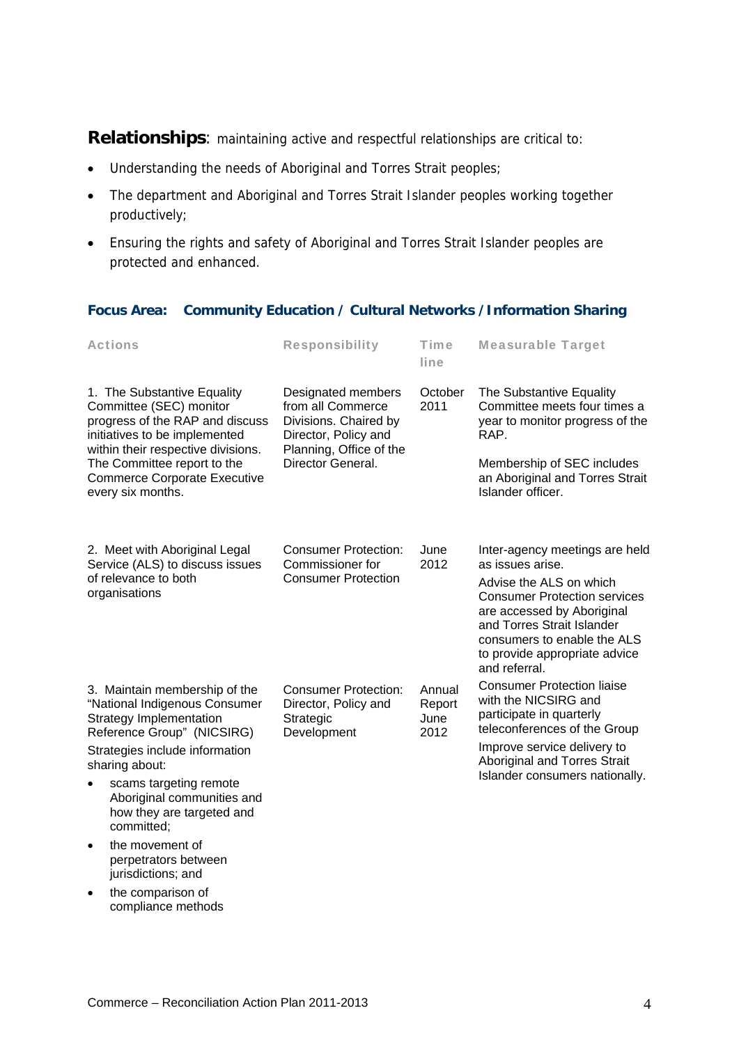**Relationships**: maintaining active and respectful relationships are critical to:

- Understanding the needs of Aboriginal and Torres Strait peoples;
- The department and Aboriginal and Torres Strait Islander peoples working together productively;
- Ensuring the rights and safety of Aboriginal and Torres Strait Islander peoples are protected and enhanced.

#### **Focus Area: Community Education / Cultural Networks /Information Sharing**

| <b>Actions</b>                                                                                                                                                              | <b>Responsibility</b>                                                                                                                                                                  | <b>Time</b><br>line              | <b>Measurable Target</b>                                                                                                                                                                                                                                          |
|-----------------------------------------------------------------------------------------------------------------------------------------------------------------------------|----------------------------------------------------------------------------------------------------------------------------------------------------------------------------------------|----------------------------------|-------------------------------------------------------------------------------------------------------------------------------------------------------------------------------------------------------------------------------------------------------------------|
| 1. The Substantive Equality<br>Committee (SEC) monitor<br>progress of the RAP and discuss<br>initiatives to be implemented                                                  | Designated members<br>2011<br>from all Commerce<br>Divisions. Chaired by<br>Director, Policy and<br>within their respective divisions.<br>Planning, Office of the<br>Director General. | October                          | The Substantive Equality<br>Committee meets four times a<br>year to monitor progress of the<br>RAP.                                                                                                                                                               |
| The Committee report to the<br><b>Commerce Corporate Executive</b><br>every six months.                                                                                     |                                                                                                                                                                                        |                                  | Membership of SEC includes<br>an Aboriginal and Torres Strait<br>Islander officer.                                                                                                                                                                                |
| 2. Meet with Aboriginal Legal<br>Service (ALS) to discuss issues<br>of relevance to both<br>organisations                                                                   | <b>Consumer Protection:</b><br>Commissioner for<br><b>Consumer Protection</b>                                                                                                          | June<br>2012                     | Inter-agency meetings are held<br>as issues arise.<br>Advise the ALS on which<br><b>Consumer Protection services</b><br>are accessed by Aboriginal<br>and Torres Strait Islander<br>consumers to enable the ALS<br>to provide appropriate advice<br>and referral. |
| 3. Maintain membership of the<br>"National Indigenous Consumer<br>Strategy Implementation<br>Reference Group" (NICSIRG)<br>Strategies include information<br>sharing about: | <b>Consumer Protection:</b><br>Director, Policy and<br>Strategic<br>Development                                                                                                        | Annual<br>Report<br>June<br>2012 | <b>Consumer Protection liaise</b><br>with the NICSIRG and<br>participate in quarterly<br>teleconferences of the Group<br>Improve service delivery to<br>Aboriginal and Torres Strait                                                                              |
| scams targeting remote<br>$\bullet$<br>Aboriginal communities and<br>how they are targeted and<br>committed;                                                                |                                                                                                                                                                                        |                                  | Islander consumers nationally.                                                                                                                                                                                                                                    |
| the movement of<br>٠                                                                                                                                                        |                                                                                                                                                                                        |                                  |                                                                                                                                                                                                                                                                   |

- perpetrators between jurisdictions; and
- the comparison of compliance methods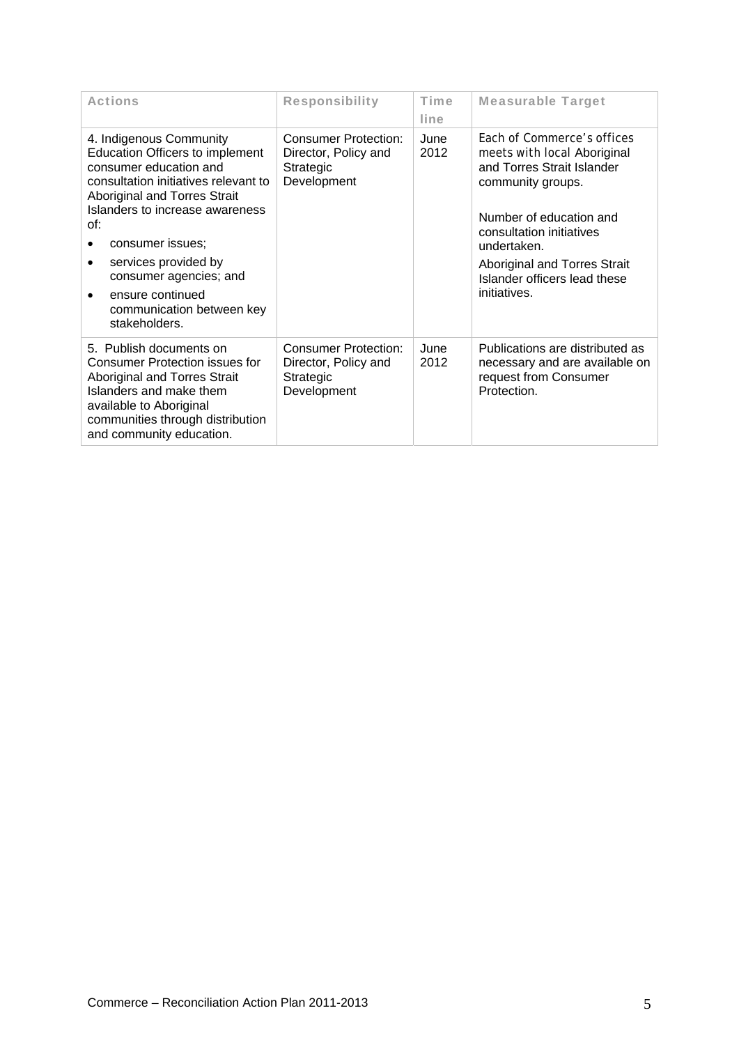| <b>Actions</b>                                                                                                                                                                                                                                                                                                                                             | <b>Responsibility</b>                                                           | Time<br>line | <b>Measurable Target</b>                                                                                                                                                                                                                                                  |
|------------------------------------------------------------------------------------------------------------------------------------------------------------------------------------------------------------------------------------------------------------------------------------------------------------------------------------------------------------|---------------------------------------------------------------------------------|--------------|---------------------------------------------------------------------------------------------------------------------------------------------------------------------------------------------------------------------------------------------------------------------------|
| 4. Indigenous Community<br><b>Education Officers to implement</b><br>consumer education and<br>consultation initiatives relevant to<br>Aboriginal and Torres Strait<br>Islanders to increase awareness<br>of:<br>consumer issues:<br>services provided by<br>٠<br>consumer agencies; and<br>ensure continued<br>communication between key<br>stakeholders. | <b>Consumer Protection:</b><br>Director, Policy and<br>Strategic<br>Development | June<br>2012 | <b>Fach of Commerce's offices</b><br>meets with local Aboriginal<br>and Torres Strait Islander<br>community groups.<br>Number of education and<br>consultation initiatives<br>undertaken.<br>Aboriginal and Torres Strait<br>Islander officers lead these<br>initiatives. |
| 5. Publish documents on<br><b>Consumer Protection issues for</b><br>Aboriginal and Torres Strait<br>Islanders and make them<br>available to Aboriginal<br>communities through distribution<br>and community education.                                                                                                                                     | <b>Consumer Protection:</b><br>Director, Policy and<br>Strategic<br>Development | June<br>2012 | Publications are distributed as<br>necessary and are available on<br>request from Consumer<br>Protection.                                                                                                                                                                 |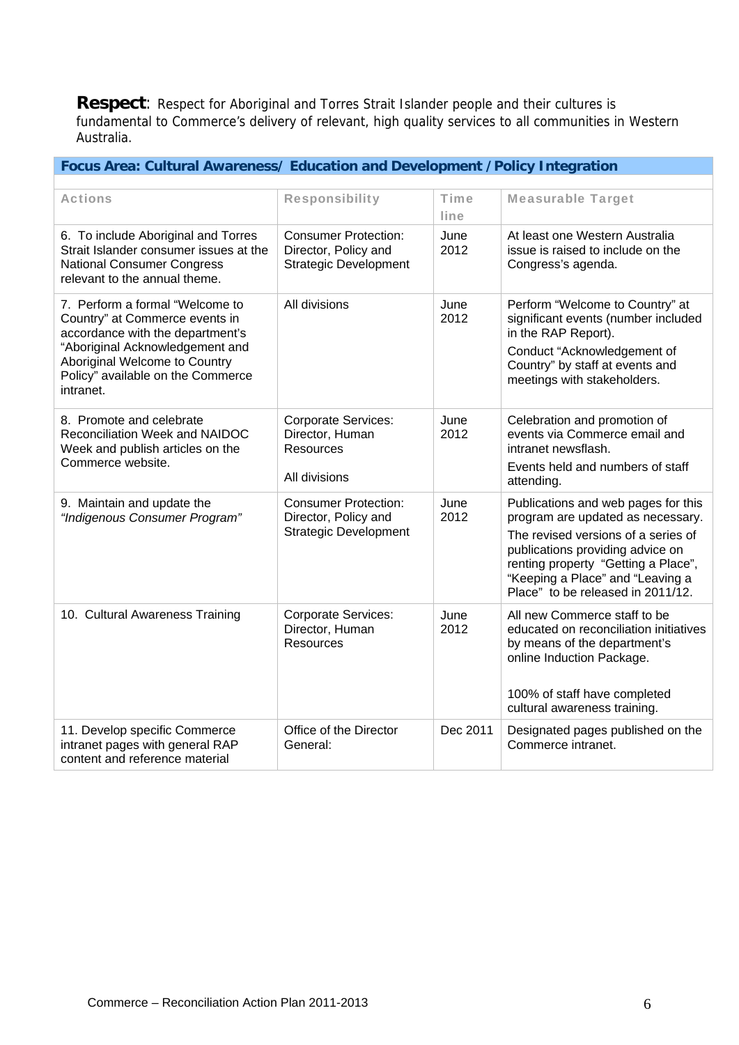**Respect**: Respect for Aboriginal and Torres Strait Islander people and their cultures is fundamental to Commerce's delivery of relevant, high quality services to all communities in Western Australia.

### **Focus Area: Cultural Awareness/ Education and Development /Policy Integration**

| <b>Actions</b>                                                                                                                                                                                                              | <b>Responsibility</b>                                                               | <b>Time</b><br>line | <b>Measurable Target</b>                                                                                                                                                                                                                                            |
|-----------------------------------------------------------------------------------------------------------------------------------------------------------------------------------------------------------------------------|-------------------------------------------------------------------------------------|---------------------|---------------------------------------------------------------------------------------------------------------------------------------------------------------------------------------------------------------------------------------------------------------------|
| 6. To include Aboriginal and Torres<br>Strait Islander consumer issues at the<br><b>National Consumer Congress</b><br>relevant to the annual theme.                                                                         | <b>Consumer Protection:</b><br>Director, Policy and<br><b>Strategic Development</b> | June<br>2012        | At least one Western Australia<br>issue is raised to include on the<br>Congress's agenda.                                                                                                                                                                           |
| 7. Perform a formal "Welcome to<br>Country" at Commerce events in<br>accordance with the department's<br>"Aboriginal Acknowledgement and<br>Aboriginal Welcome to Country<br>Policy" available on the Commerce<br>intranet. | All divisions                                                                       | June<br>2012        | Perform "Welcome to Country" at<br>significant events (number included<br>in the RAP Report).<br>Conduct "Acknowledgement of<br>Country" by staff at events and<br>meetings with stakeholders.                                                                      |
| 8. Promote and celebrate<br>Reconciliation Week and NAIDOC<br>Week and publish articles on the<br>Commerce website.                                                                                                         | <b>Corporate Services:</b><br>Director, Human<br><b>Resources</b><br>All divisions  | June<br>2012        | Celebration and promotion of<br>events via Commerce email and<br>intranet newsflash.<br>Events held and numbers of staff<br>attending.                                                                                                                              |
| 9. Maintain and update the<br>"Indigenous Consumer Program"                                                                                                                                                                 | <b>Consumer Protection:</b><br>Director, Policy and<br><b>Strategic Development</b> | June<br>2012        | Publications and web pages for this<br>program are updated as necessary.<br>The revised versions of a series of<br>publications providing advice on<br>renting property "Getting a Place",<br>"Keeping a Place" and "Leaving a<br>Place" to be released in 2011/12. |
| 10. Cultural Awareness Training                                                                                                                                                                                             | <b>Corporate Services:</b><br>Director, Human<br><b>Resources</b>                   | June<br>2012        | All new Commerce staff to be<br>educated on reconciliation initiatives<br>by means of the department's<br>online Induction Package.<br>100% of staff have completed<br>cultural awareness training.                                                                 |
| 11. Develop specific Commerce<br>intranet pages with general RAP<br>content and reference material                                                                                                                          | Office of the Director<br>General:                                                  | Dec 2011            | Designated pages published on the<br>Commerce intranet.                                                                                                                                                                                                             |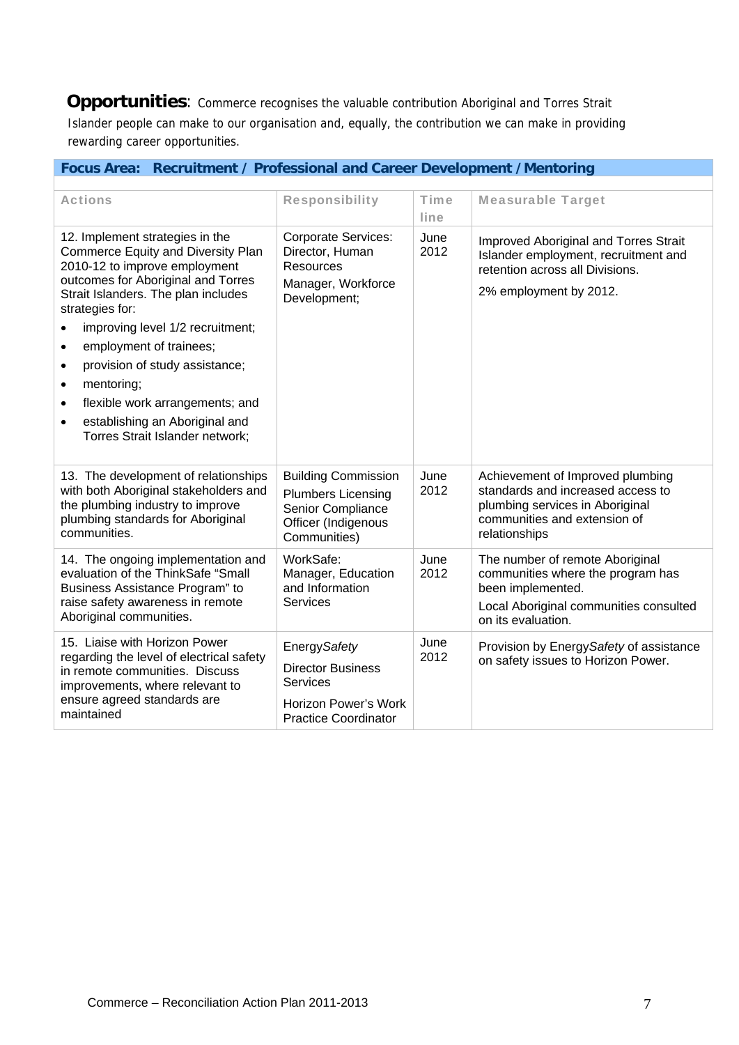**Opportunities:** Commerce recognises the valuable contribution Aboriginal and Torres Strait Islander people can make to our organisation and, equally, the contribution we can make in providing rewarding career opportunities.

| <b>Actions</b>                                                                                                                                                                                                                                                                                                                                                                                                                                                                                              | <b>Responsibility</b>                                                                                               | <b>Time</b>  | <b>Measurable Target</b>                                                                                                                                  |
|-------------------------------------------------------------------------------------------------------------------------------------------------------------------------------------------------------------------------------------------------------------------------------------------------------------------------------------------------------------------------------------------------------------------------------------------------------------------------------------------------------------|---------------------------------------------------------------------------------------------------------------------|--------------|-----------------------------------------------------------------------------------------------------------------------------------------------------------|
|                                                                                                                                                                                                                                                                                                                                                                                                                                                                                                             |                                                                                                                     | line         |                                                                                                                                                           |
| 12. Implement strategies in the<br>Commerce Equity and Diversity Plan<br>2010-12 to improve employment<br>outcomes for Aboriginal and Torres<br>Strait Islanders. The plan includes<br>strategies for:<br>improving level 1/2 recruitment;<br>$\bullet$<br>employment of trainees;<br>$\bullet$<br>provision of study assistance;<br>$\bullet$<br>mentoring;<br>$\bullet$<br>flexible work arrangements; and<br>$\bullet$<br>establishing an Aboriginal and<br>$\bullet$<br>Torres Strait Islander network; | <b>Corporate Services:</b><br>Director, Human<br>Resources<br>Manager, Workforce<br>Development;                    | June<br>2012 | Improved Aboriginal and Torres Strait<br>Islander employment, recruitment and<br>retention across all Divisions.<br>2% employment by 2012.                |
| 13. The development of relationships<br>with both Aboriginal stakeholders and<br>the plumbing industry to improve<br>plumbing standards for Aboriginal<br>communities.                                                                                                                                                                                                                                                                                                                                      | <b>Building Commission</b><br><b>Plumbers Licensing</b><br>Senior Compliance<br>Officer (Indigenous<br>Communities) | June<br>2012 | Achievement of Improved plumbing<br>standards and increased access to<br>plumbing services in Aboriginal<br>communities and extension of<br>relationships |
| 14. The ongoing implementation and<br>evaluation of the ThinkSafe "Small<br>Business Assistance Program" to<br>raise safety awareness in remote<br>Aboriginal communities.                                                                                                                                                                                                                                                                                                                                  | WorkSafe:<br>Manager, Education<br>and Information<br><b>Services</b>                                               | June<br>2012 | The number of remote Aboriginal<br>communities where the program has<br>been implemented.<br>Local Aboriginal communities consulted<br>on its evaluation. |
| 15. Liaise with Horizon Power<br>regarding the level of electrical safety<br>in remote communities. Discuss<br>improvements, where relevant to<br>ensure agreed standards are<br>maintained                                                                                                                                                                                                                                                                                                                 | Energy Safety<br><b>Director Business</b><br>Services<br><b>Horizon Power's Work</b><br><b>Practice Coordinator</b> | June<br>2012 | Provision by Energy Safety of assistance<br>on safety issues to Horizon Power.                                                                            |

### **Focus Area: Recruitment / Professional and Career Development /Mentoring**